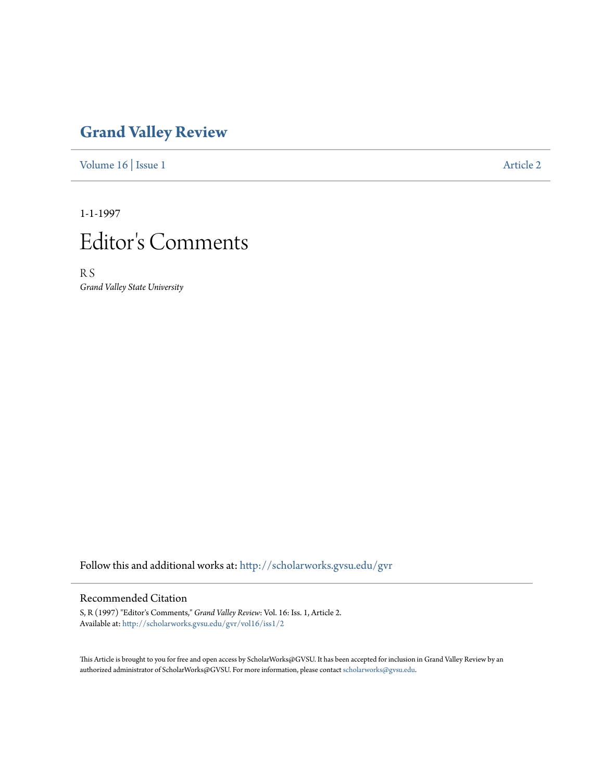## **[Grand Valley Review](http://scholarworks.gvsu.edu/gvr?utm_source=scholarworks.gvsu.edu%2Fgvr%2Fvol16%2Fiss1%2F2&utm_medium=PDF&utm_campaign=PDFCoverPages)**

[Volume 16](http://scholarworks.gvsu.edu/gvr/vol16?utm_source=scholarworks.gvsu.edu%2Fgvr%2Fvol16%2Fiss1%2F2&utm_medium=PDF&utm_campaign=PDFCoverPages) | [Issue 1](http://scholarworks.gvsu.edu/gvr/vol16/iss1?utm_source=scholarworks.gvsu.edu%2Fgvr%2Fvol16%2Fiss1%2F2&utm_medium=PDF&utm_campaign=PDFCoverPages) [Article 2](http://scholarworks.gvsu.edu/gvr/vol16/iss1/2?utm_source=scholarworks.gvsu.edu%2Fgvr%2Fvol16%2Fiss1%2F2&utm_medium=PDF&utm_campaign=PDFCoverPages)

1-1-1997



R S *Grand Valley State University*

Follow this and additional works at: [http://scholarworks.gvsu.edu/gvr](http://scholarworks.gvsu.edu/gvr?utm_source=scholarworks.gvsu.edu%2Fgvr%2Fvol16%2Fiss1%2F2&utm_medium=PDF&utm_campaign=PDFCoverPages)

## Recommended Citation

S, R (1997) "Editor's Comments," *Grand Valley Review*: Vol. 16: Iss. 1, Article 2. Available at: [http://scholarworks.gvsu.edu/gvr/vol16/iss1/2](http://scholarworks.gvsu.edu/gvr/vol16/iss1/2?utm_source=scholarworks.gvsu.edu%2Fgvr%2Fvol16%2Fiss1%2F2&utm_medium=PDF&utm_campaign=PDFCoverPages)

This Article is brought to you for free and open access by ScholarWorks@GVSU. It has been accepted for inclusion in Grand Valley Review by an authorized administrator of ScholarWorks@GVSU. For more information, please contact [scholarworks@gvsu.edu.](mailto:scholarworks@gvsu.edu)